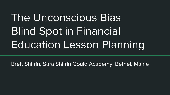# The Unconscious Bias **Blind Spot in Financial Education Lesson Planning**

Brett Shifrin, Sara Shifrin Gould Academy, Bethel, Maine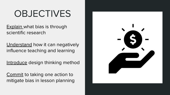### **OBJECTIVES**

**Explain what bias is through** scientific research

Understand how it can negatively influence teaching and learning

Introduce design thinking method

Commit to taking one action to mitigate bias in lesson planning

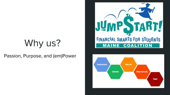## Why us?

Passion, Purpose, and (em)Power



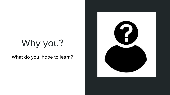## Why you?

What do you hope to learn?

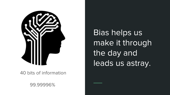

40 bits of information

99.99996%

Bias helps us make it through the day and leads us astray.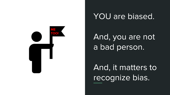

### YOU are biased.

And, you are not a bad person.

And, it matters to recognize bias.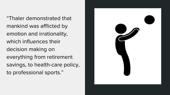"Thaler demonstrated that mankind was afflicted by emotion and irrationality, which influences their decision making on everything from retirement savings, to health-care policy, to professional sports."

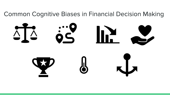### **Common Cognitive Biases in Financial Decision Making**

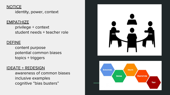#### **NOTICE**

identity, power, context

#### **EMPATHIZE**

privilege + context student needs + teacher role

#### **DEFINE**

content purpose potential common biases  $topics + triggers$ 

#### **IDEATE + REDESIGN**

awareness of common biases inclusive examples cognitive "bias busters"



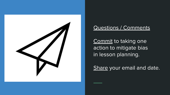

### **Questions / Comments**

Commit to taking one action to mitigate bias in lesson planning.

Share your email and date.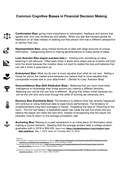#### **Common Cognitive Biases in Financial Decision Making**



**Confirmation Bias:** giving more importance to information, feedback and advice that agrees with your own tendencies and beliefs. When you ask like-minded people for feedback on an idea instead of seeking out that person who has a different perspective or opinion than you.



**Representative Bias:** using mental shortcuts to deal with large amounts of unique information. Categorizing items or making generalizations to make sense of ideas.



**Loss-Aversion Bias (regret aversion bias ) :** Holding onto something of value believing it will rebound. Often seen when a stock price drops and an investor will hold onto the stock because the investor does not want to realize the loss and believes that can sell it when it goes back up.



**Endowment Bias:** What we do own is more valuable than what do not own. Selling a house for above the market price because you believe that is more valuable than comparable houses due to your attachment. ( Similar to Loss- Aversion Bias)



**Overconfidence Bias (Self Attribution Bias) :** Believing that you have more skills, intelligence or knowledge than those around you making a different decision. Believing you will be the one who is different. Buying that lottery ticket because you will be the one who wins even though the odds of winning are extremely slim.



**Recency Bias (Familiarity Bias):** The tendency to believe what has recently happened will continue or using historical data to base future performance. The tendency to underemphasize long-term averages or trends. Forgetting the idea of "returning to the norm. The hot had fallacy: a basketball player has made the last five shots and you believe the player will make the next shot, instead of recognizing that the player will probably miss to return to the average completion rate

**Anchoring Bias:** Relying on a past experience or an initial piece of information when making a current decision. Reading that the average student debt a college student gr[aduates with in 2018 is \\$39,400, taken from](https://studentloanhero.com/student-loan-debt-statistics/) **https://studentloanhero.com/student-loandebt-statistics/**, May 1, 2018, taken on Thursday May 10, 2018

**Citations** 

Behavioral Bias- Cognitive Vs Emotional Bias in Investing: **[https://www.investopedia.com/articles/investing/051613/behavioral-bias](https://www.investopedia.com/articles/investing/051613/behavioral-bias-cognitive-vs-emotional-bias-investing.asp)cognitive-vs-emotional-bias-investing.asp**, May 3, 2018, used May 8, 20189

Psychological Biases That Hurt Investors: [https://money.usnews.com/investing/slideshows/9-psychological-biases-that-hurt](https://money.usnews.com/investing/slideshows/9-psychological-biases-that-hurt-investors?slide=5)**investors?slide=5**, December 12, 2016, referenced May 8, 2018

Your Brain is Hurting Your Investment Returns: [https://money.usnews.com/investing/articles/2017-04-06/your-brain-is-hurting-your](https://money.usnews.com/investing/articles/2017-04-06/your-brain-is-hurting-your-investment-returns)**investment-returns** , April 6, 2017, taken on May 10, 2018